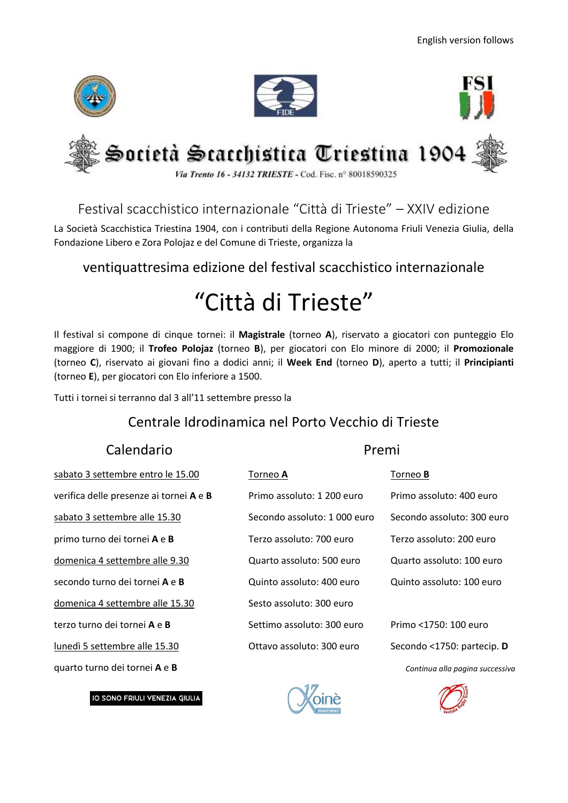

# Festival scacchistico internazionale "Città di Trieste" – XXIV edizione

La Società Scacchistica Triestina 1904, con i contributi della Regione Autonoma Friuli Venezia Giulia, della Fondazione Libero e Zora Polojaz e del Comune di Trieste, organizza la

### ventiquattresima edizione del festival scacchistico internazionale

# "Città di Trieste"

Il festival si compone di cinque tornei: il **Magistrale** (torneo **A**), riservato a giocatori con punteggio Elo maggiore di 1900; il **Trofeo Polojaz** (torneo **B**), per giocatori con Elo minore di 2000; il **Promozionale** (torneo **C**), riservato ai giovani fino a dodici anni; il **Week End** (torneo **D**), aperto a tutti; il **Principianti** (torneo **E**), per giocatori con Elo inferiore a 1500.

Tutti i tornei si terranno dal 3 all'11 settembre presso la

#### Centrale Idrodinamica nel Porto Vecchio di Trieste

#### Calendario **Premi**

| sabato 3 settembre entro le 15.00       | Torneo A                     | Torneo <b>B</b> |
|-----------------------------------------|------------------------------|-----------------|
| verifica delle presenze ai tornei A e B | Primo assoluto: 1 200 euro   | Primo as:       |
| sabato 3 settembre alle 15.30           | Secondo assoluto: 1 000 euro | Secondo         |
| primo turno dei tornei A e B            | Terzo assoluto: 700 euro     | Terzo ass       |
| domenica 4 settembre alle 9.30          | Quarto assoluto: 500 euro    | Quarto a        |
| secondo turno dei tornei A e B          | Quinto assoluto: 400 euro    | Quinto as       |
| domenica 4 settembre alle 15.30         | Sesto assoluto: 300 euro     |                 |
| terzo turno dei tornei A e B            | Settimo assoluto: 300 euro   | Primo <1        |
| lunedì 5 settembre alle 15.30           | Ottavo assoluto: 300 euro    | Secondo         |
| quarto turno dei tornei A e B           |                              | Contin          |

IO SONO FRIULI VENEZIA GIULIA

| sabato 3 settembre entro le 15.00            | Torneo <del>A</del>          | <b>Torneo B</b>            |
|----------------------------------------------|------------------------------|----------------------------|
| verifica delle presenze ai tornei A e B      | Primo assoluto: 1 200 euro   | Primo assoluto: 400 euro   |
| sabato 3 settembre alle 15.30                | Secondo assoluto: 1 000 euro | Secondo assoluto: 300 euro |
| primo turno dei tornei A e B                 | Terzo assoluto: 700 euro     | Terzo assoluto: 200 euro   |
| domenica 4 settembre alle 9.30               | Quarto assoluto: 500 euro    | Quarto assoluto: 100 euro  |
| secondo turno dei tornei <b>A</b> e <b>B</b> | Quinto assoluto: 400 euro    | Quinto assoluto: 100 euro  |
| domenica 4 settembre alle 15.30              | Sesto assoluto: 300 euro     |                            |
| terzo turno dei tornei <b>A</b> e <b>B</b>   | Settimo assoluto: 300 euro   | Primo <1750: 100 euro      |
| lunedì 5 settembre alle 15.30                | Ottavo assoluto: 300 euro    | Secondo <1750: partecip. D |
|                                              |                              |                            |

quarto turno dei tornei **A** e **B** *Continua alla pagina successiva*



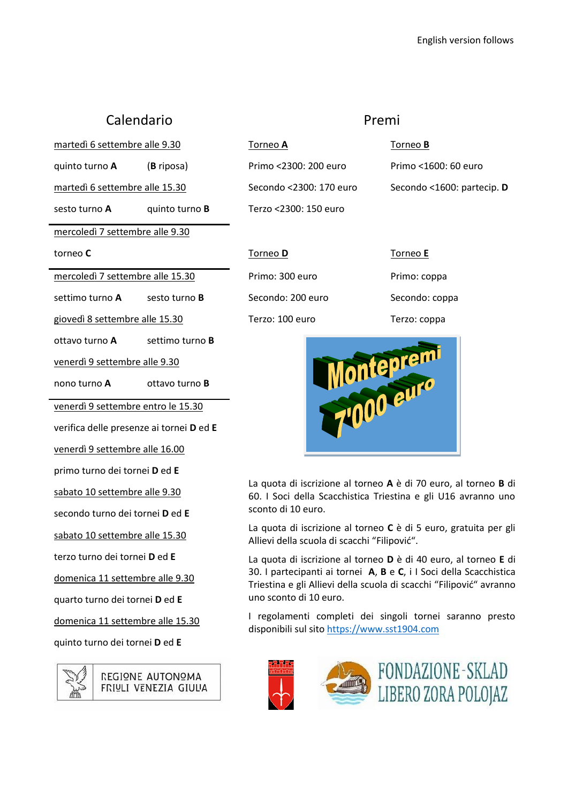## Calendario **Premi**

martedì 6 settembre alle 9.30 Torneo A Torneo B

sesto turno **A** quinto turno **B** Terzo <2300: 150 euro

mercoledì 7 settembre alle 9.30

giovedì 8 settembre alle 15.30 Terzo: 100 euro Terzo: coppa

ottavo turno **A** settimo turno **B**

venerdì 9 settembre alle 9.30

nono turno **A** ottavo turno **B**

venerdì 9 settembre entro le 15.30

verifica delle presenze ai tornei **D** ed **E**

venerdì 9 settembre alle 16.00

primo turno dei tornei **D** ed **E**

sabato 10 settembre alle 9.30

secondo turno dei tornei **D** ed **E**

sabato 10 settembre alle 15.30

terzo turno dei tornei **D** ed **E**

domenica 11 settembre alle 9.30

quarto turno dei tornei **D** ed **E**

domenica 11 settembre alle 15.30

quinto turno dei tornei **D** ed **E**



quinto turno **A** (**B** riposa) Primo <2300: 200 euro Primo <1600: 60 euro martedì 6 settembre alle 15.30 Secondo <2300: 170 euro Secondo <1600: partecip. **D** torneo **C** Torneo **D** Torneo **E** mercoledì 7 settembre alle 15.30 Primo: 300 euro Primo: coppa settimo turno **A** sesto turno **B** Secondo: 200 euro Secondo: coppa



La quota di iscrizione al torneo **A** è di 70 euro, al torneo **B** di 60. I Soci della Scacchistica Triestina e gli U16 avranno uno sconto di 10 euro.

La quota di iscrizione al torneo **C** è di 5 euro, gratuita per gli Allievi della scuola di scacchi "Filipović".

La quota di iscrizione al torneo **D** è di 40 euro, al torneo **E** di 30. I partecipanti ai tornei **A**, **B** e **C**, i I Soci della Scacchistica Triestina e gli Allievi della scuola di scacchi "Filipović" avranno uno sconto di 10 euro.

I regolamenti completi dei singoli tornei saranno presto disponibili sul sito [https://www.sst1904.com](https://www.sst1904.com/)

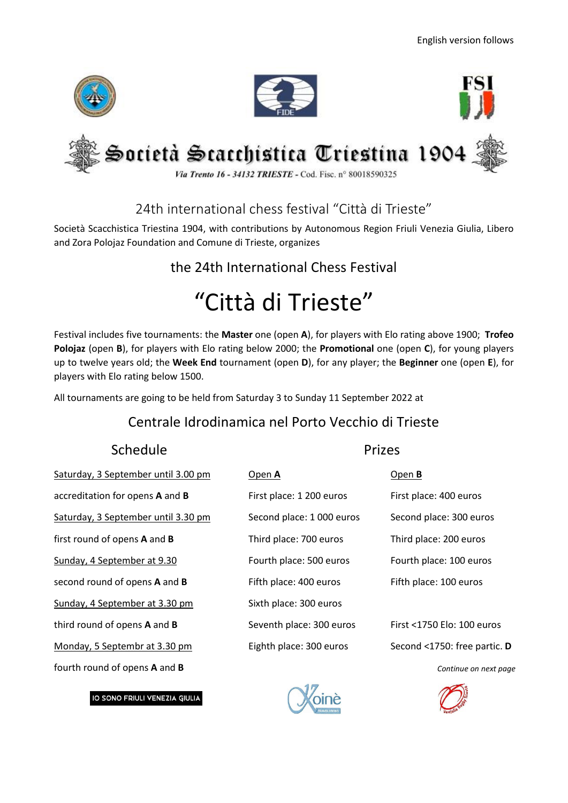

24th international chess festival "Città di Trieste"

Società Scacchistica Triestina 1904, with contributions by Autonomous Region Friuli Venezia Giulia, Libero and Zora Polojaz Foundation and Comune di Trieste, organizes

# the 24th International Chess Festival

# "Città di Trieste"

Festival includes five tournaments: the **Master** one (open **A**), for players with Elo rating above 1900; **Trofeo Polojaz** (open **B**), for players with Elo rating below 2000; the **Promotional** one (open **C**), for young players up to twelve years old; the **Week End** tournament (open **D**), for any player; the **Beginner** one (open **E**), for players with Elo rating below 1500.

All tournaments are going to be held from Saturday 3 to Sunday 11 September 2022 at

# Centrale Idrodinamica nel Porto Vecchio di Trieste

# Schedule Prizes

Saturday, 3 September until 3.00 pm Open **A** Open **B** accreditation for opens **A** and **B** First place: 1 200 euros First place: 400 euros Saturday, 3 September until 3.30 pm Second place: 1 000 euros Second place: 300 euros first round of opens **A** and **B** Third place: 700 euros Third place: 200 euros Sunday, 4 September at 9.30 Fourth place: 500 euros Fourth place: 100 euros second round of opens **A** and **B** Fifth place: 400 euros Fifth place: 100 euros Sunday, 4 September at 3.30 pm third round of opens **A** and **B** Seventh place: 300 euros First <1750 Elo: 100 euros Monday, 5 Septembr at 3.30 pm Eighth place: 300 euros Second <1750: free partic. **D** fourth round of opens **A** and **B** *Continue on next page*

IO SONO FRIULI VENEZIA GIULIA

| pen A                    | ODE  |
|--------------------------|------|
| irst place: 1 200 euros  | Firs |
| econd place: 1 000 euros | Sec  |
| hird place: 700 euros    | Thir |
| ourth place: 500 euros   | Fou  |
| ifth place: 400 euros    | Fift |
| ixth place: 300 euros    |      |
| eventh place: 300 euros  | Firs |
| ighth place: 300 euros   | Sec  |
|                          |      |